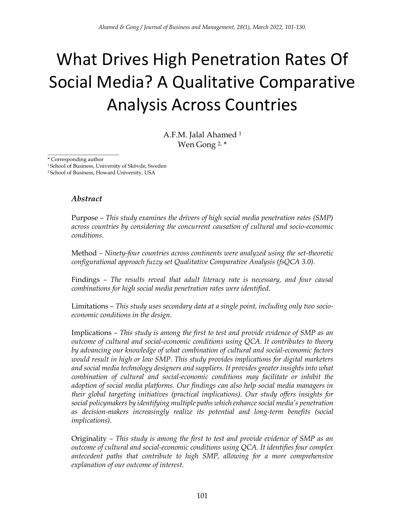# What Drives High Penetration Rates Of Social Media? A Qualitative Comparative Analysis Across Countries

A.F.M. Jalal Ahamed <sup>1</sup> Wen Gong 2, \*

\_\_\_\_\_\_\_\_\_\_\_\_\_\_\_\_\_\_\_\_\_\_\_\_\_\_\_ \* Corresponding author

<sup>1</sup> School of Business, University of Skövde, Sweden <sup>2</sup> School of Business, Howard University, USA

#### *Abstract*

Purpose *– This study examines the drivers of high social media penetration rates (SMP) across countries by considering the concurrent causation of cultural and socio-economic conditions.*

Method *– Ninety-four countries across continents were analyzed using the set-theoretic configurational approach fuzzy set Qualitative Comparative Analysis (fsQCA 3.0).*

Findings *– The results reveal that adult literacy rate is necessary, and four causal combinations for high social media penetration rates were identified.*

Limitations *– This study uses secondary data at a single point, including only two socioeconomic conditions in the design.*

Implications *– This study is among the first to test and provide evidence of SMP as an outcome of cultural and social-economic conditions using QCA. It contributes to theory by advancing our knowledge of what combination of cultural and social-economic factors would result in high or low SMP. This study provides implications for digital marketers and social media technology designers and suppliers. It provides greater insights into what combination of cultural and social-economic conditions may facilitate or inhibit the adoption of social media platforms. Our findings can also help social media managers in their global targeting initiatives (practical implications). Our study offers insights for social policymakers by identifying multiple paths which enhance social media's penetration as decision-makers increasingly realize its potential and long-term benefits (social implications).*

Originality *– This study is among the first to test and provide evidence of SMP as an outcome of cultural and social-economic conditions using QCA. It identifies four complex antecedent paths that contribute to high SMP, allowing for a more comprehensive explanation of our outcome of interest.*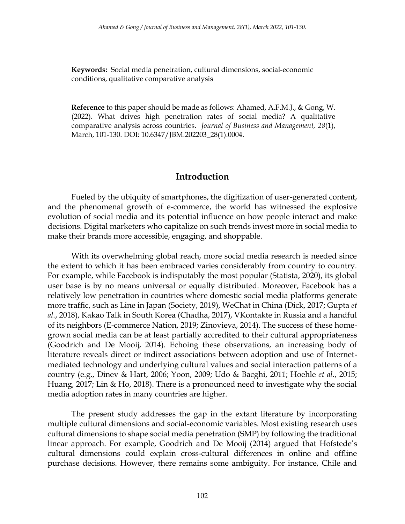**Keywords:** Social media penetration, cultural dimensions, social-economic conditions, qualitative comparative analysis

**Reference** to this paper should be made as follows: Ahamed, A.F.M.J., & Gong, W. (2022). What drives high penetration rates of social media? A qualitative comparative analysis across countries. *Journal of Business and Management, 28*(1), March, 101-130. DOI: 10.6347/JBM.202203\_28(1).0004.

#### **Introduction**

Fueled by the ubiquity of smartphones, the digitization of user-generated content, and the phenomenal growth of e-commerce, the world has witnessed the explosive evolution of social media and its potential influence on how people interact and make decisions. Digital marketers who capitalize on such trends invest more in social media to make their brands more accessible, engaging, and shoppable.

With its overwhelming global reach, more social media research is needed since the extent to which it has been embraced varies considerably from country to country. For example, while Facebook is indisputably the most popular (Statista, 2020), its global user base is by no means universal or equally distributed. Moreover, Facebook has a relatively low penetration in countries where domestic social media platforms generate more traffic, such as Line in Japan (Society, 2019), WeChat in China (Dick, 2017; Gupta *et al.*, 2018), Kakao Talk in South Korea (Chadha, 2017), VKontakte in Russia and a handful of its neighbors (E-commerce Nation, 2019; Zinovieva, 2014). The success of these homegrown social media can be at least partially accredited to their cultural appropriateness (Goodrich and De Mooij, 2014). Echoing these observations, an increasing body of literature reveals direct or indirect associations between adoption and use of Internetmediated technology and underlying cultural values and social interaction patterns of a country (e.g., Dinev & Hart, 2006; Yoon, 2009; Udo & Bacghi, 2011; Hoehle *et al.*, 2015; Huang, 2017; Lin & Ho, 2018). There is a pronounced need to investigate why the social media adoption rates in many countries are higher.

The present study addresses the gap in the extant literature by incorporating multiple cultural dimensions and social-economic variables. Most existing research uses cultural dimensions to shape social media penetration (SMP) by following the traditional linear approach. For example, Goodrich and De Mooij (2014) argued that Hofstede's cultural dimensions could explain cross-cultural differences in online and offline purchase decisions. However, there remains some ambiguity. For instance, Chile and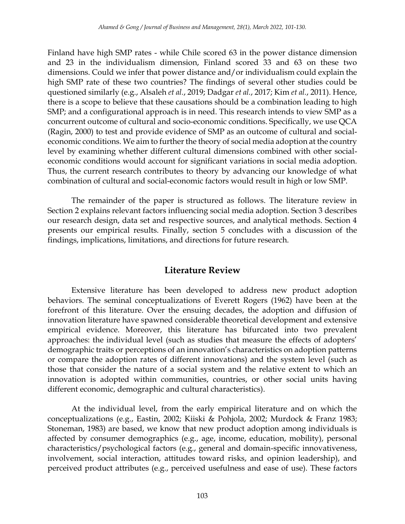Finland have high SMP rates - while Chile scored 63 in the power distance dimension and 23 in the individualism dimension, Finland scored 33 and 63 on these two dimensions. Could we infer that power distance and/or individualism could explain the high SMP rate of these two countries? The findings of several other studies could be questioned similarly (e.g., Alsaleh *et al.*, 2019; Dadgar *et al.*, 2017; Kim *et al.*, 2011). Hence, there is a scope to believe that these causations should be a combination leading to high SMP; and a configurational approach is in need. This research intends to view SMP as a concurrent outcome of cultural and socio-economic conditions. Specifically, we use QCA (Ragin, 2000) to test and provide evidence of SMP as an outcome of cultural and socialeconomic conditions. We aim to further the theory of social media adoption at the country level by examining whether different cultural dimensions combined with other socialeconomic conditions would account for significant variations in social media adoption. Thus, the current research contributes to theory by advancing our knowledge of what combination of cultural and social-economic factors would result in high or low SMP.

The remainder of the paper is structured as follows. The literature review in Section 2 explains relevant factors influencing social media adoption. Section 3 describes our research design, data set and respective sources, and analytical methods. Section 4 presents our empirical results. Finally, section 5 concludes with a discussion of the findings, implications, limitations, and directions for future research.

# **Literature Review**

Extensive literature has been developed to address new product adoption behaviors. The seminal conceptualizations of Everett Rogers (1962) have been at the forefront of this literature. Over the ensuing decades, the adoption and diffusion of innovation literature have spawned considerable theoretical development and extensive empirical evidence. Moreover, this literature has bifurcated into two prevalent approaches: the individual level (such as studies that measure the effects of adopters' demographic traits or perceptions of an innovation's characteristics on adoption patterns or compare the adoption rates of different innovations) and the system level (such as those that consider the nature of a social system and the relative extent to which an innovation is adopted within communities, countries, or other social units having different economic, demographic and cultural characteristics).

At the individual level, from the early empirical literature and on which the conceptualizations (e.g., Eastin, 2002; Kiiski & Pohjola, 2002; Murdock & Franz 1983; Stoneman, 1983) are based, we know that new product adoption among individuals is affected by consumer demographics (e.g., age, income, education, mobility), personal characteristics/psychological factors (e.g., general and domain-specific innovativeness, involvement, social interaction, attitudes toward risks, and opinion leadership), and perceived product attributes (e.g., perceived usefulness and ease of use). These factors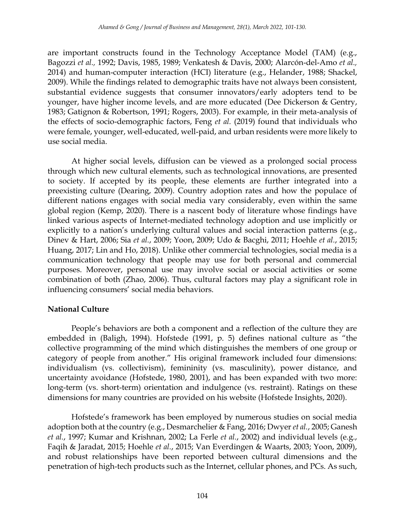are important constructs found in the Technology Acceptance Model (TAM) (e.g., Bagozzi *et al.,* 1992; Davis, 1985, 1989; Venkatesh & Davis, 2000; Alarcón-del-Amo *et al.,* 2014) and human-computer interaction (HCI) literature (e.g., Helander, 1988; Shackel, 2009). While the findings related to demographic traits have not always been consistent, substantial evidence suggests that consumer innovators/early adopters tend to be younger, have higher income levels, and are more educated (Dee Dickerson & Gentry, 1983; Gatignon & Robertson, 1991; Rogers, 2003). For example, in their meta-analysis of the effects of socio-demographic factors, Feng *et al.* (2019) found that individuals who were female, younger, well-educated, well-paid, and urban residents were more likely to use social media.

At higher social levels, diffusion can be viewed as a prolonged social process through which new cultural elements, such as technological innovations, are presented to society. If accepted by its people, these elements are further integrated into a preexisting culture (Dearing, 2009). Country adoption rates and how the populace of different nations engages with social media vary considerably, even within the same global region (Kemp, 2020). There is a nascent body of literature whose findings have linked various aspects of Internet-mediated technology adoption and use implicitly or explicitly to a nation's underlying cultural values and social interaction patterns (e.g., Dinev & Hart, 2006; Sia *et al.*, 2009; Yoon, 2009; Udo & Bacghi, 2011; Hoehle *et al.*, 2015; Huang, 2017; Lin and Ho, 2018). Unlike other commercial technologies, social media is a communication technology that people may use for both personal and commercial purposes. Moreover, personal use may involve social or asocial activities or some combination of both (Zhao, 2006). Thus, cultural factors may play a significant role in influencing consumers' social media behaviors.

## **National Culture**

People's behaviors are both a component and a reflection of the culture they are embedded in (Baligh, 1994). Hofstede (1991, p. 5) defines national culture as "the collective programming of the mind which distinguishes the members of one group or category of people from another." His original framework included four dimensions: individualism (vs. collectivism), femininity (vs. masculinity), power distance, and uncertainty avoidance (Hofstede, 1980, 2001), and has been expanded with two more: long-term (vs. short-term) orientation and indulgence (vs. restraint). Ratings on these dimensions for many countries are provided on his website (Hofstede Insights, 2020).

Hofstede's framework has been employed by numerous studies on social media adoption both at the country (e.g., Desmarchelier & Fang, 2016; Dwyer *et al.*, 2005; Ganesh *et al.*, 1997; Kumar and Krishnan, 2002; La Ferle *et al.*, 2002) and individual levels (e.g., Faqih & Jaradat, 2015; Hoehle *et al.*, 2015; Van Everdingen & Waarts, 2003; Yoon, 2009), and robust relationships have been reported between cultural dimensions and the penetration of high-tech products such as the Internet, cellular phones, and PCs. As such,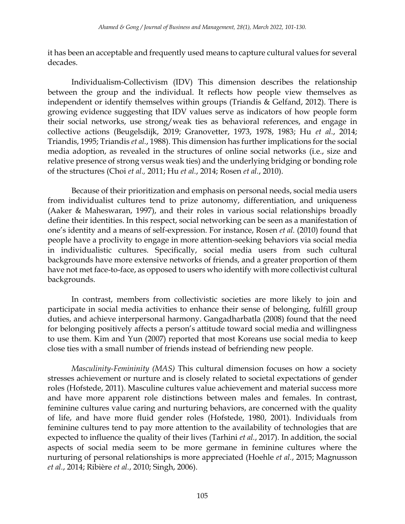it has been an acceptable and frequently used means to capture cultural values for several decades.

Individualism-Collectivism (IDV) This dimension describes the relationship between the group and the individual. It reflects how people view themselves as independent or identify themselves within groups (Triandis & Gelfand, 2012). There is growing evidence suggesting that IDV values serve as indicators of how people form their social networks, use strong/weak ties as behavioral references, and engage in collective actions (Beugelsdijk, 2019; Granovetter, 1973, 1978, 1983; Hu *et al.*, 2014; Triandis, 1995; Triandis *et al.*, 1988). This dimension has further implications for the social media adoption, as revealed in the structures of online social networks (i.e., size and relative presence of strong versus weak ties) and the underlying bridging or bonding role of the structures (Choi *et al.,* 2011; Hu *et al.*, 2014; Rosen *et al.*, 2010).

Because of their prioritization and emphasis on personal needs, social media users from individualist cultures tend to prize autonomy, differentiation, and uniqueness (Aaker & Maheswaran, 1997), and their roles in various social relationships broadly define their identities. In this respect, social networking can be seen as a manifestation of one's identity and a means of self-expression. For instance, Rosen *et al.* (2010) found that people have a proclivity to engage in more attention-seeking behaviors via social media in individualistic cultures. Specifically, social media users from such cultural backgrounds have more extensive networks of friends, and a greater proportion of them have not met face-to-face, as opposed to users who identify with more collectivist cultural backgrounds.

In contrast, members from collectivistic societies are more likely to join and participate in social media activities to enhance their sense of belonging, fulfill group duties, and achieve interpersonal harmony. Gangadharbatla (2008) found that the need for belonging positively affects a person's attitude toward social media and willingness to use them. Kim and Yun (2007) reported that most Koreans use social media to keep close ties with a small number of friends instead of befriending new people.

*Masculinity-Femininity (MAS)* This cultural dimension focuses on how a society stresses achievement or nurture and is closely related to societal expectations of gender roles (Hofstede, 2011). Masculine cultures value achievement and material success more and have more apparent role distinctions between males and females. In contrast, feminine cultures value caring and nurturing behaviors, are concerned with the quality of life, and have more fluid gender roles (Hofstede, 1980, 2001). Individuals from feminine cultures tend to pay more attention to the availability of technologies that are expected to influence the quality of their lives (Tarhini *et al.*, 2017). In addition, the social aspects of social media seem to be more germane in feminine cultures where the nurturing of personal relationships is more appreciated (Hoehle *et al.*, 2015; Magnusson *et al.*, 2014; Ribière *et al.*, 2010; Singh, 2006).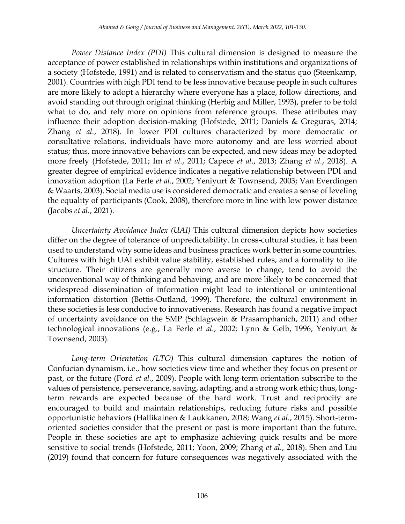*Power Distance Index (PDI)* This cultural dimension is designed to measure the acceptance of power established in relationships within institutions and organizations of a society (Hofstede, 1991) and is related to conservatism and the status quo (Steenkamp, 2001). Countries with high PDI tend to be less innovative because people in such cultures are more likely to adopt a hierarchy where everyone has a place, follow directions, and avoid standing out through original thinking (Herbig and Miller, 1993), prefer to be told what to do, and rely more on opinions from reference groups. These attributes may influence their adoption decision-making (Hofstede, 2011; Daniels & Greguras, 2014; Zhang *et al.*, 2018). In lower PDI cultures characterized by more democratic or consultative relations, individuals have more autonomy and are less worried about status; thus, more innovative behaviors can be expected, and new ideas may be adopted more freely (Hofstede, 2011; Im *et al.*, 2011; Capece *et al.*, 2013; Zhang *et al.*, 2018). A greater degree of empirical evidence indicates a negative relationship between PDI and innovation adoption (La Ferle *et al.*, 2002; Yeniyurt & Townsend, 2003; Van Everdingen & Waarts, 2003). Social media use is considered democratic and creates a sense of leveling the equality of participants (Cook, 2008), therefore more in line with low power distance (Jacobs *et al.*, 2021).

*Uncertainty Avoidance Index (UAI)* This cultural dimension depicts how societies differ on the degree of tolerance of unpredictability. In cross-cultural studies, it has been used to understand why some ideas and business practices work better in some countries. Cultures with high UAI exhibit value stability, established rules, and a formality to life structure. Their citizens are generally more averse to change, tend to avoid the unconventional way of thinking and behaving, and are more likely to be concerned that widespread dissemination of information might lead to intentional or unintentional information distortion (Bettis-Outland, 1999). Therefore, the cultural environment in these societies is less conducive to innovativeness. Research has found a negative impact of uncertainty avoidance on the SMP (Schlagwein & Prasarnphanich, 2011) and other technological innovations (e.g., La Ferle *et al.*, 2002; Lynn & Gelb, 1996; Yeniyurt & Townsend, 2003).

*Long-term Orientation (LTO)* This cultural dimension captures the notion of Confucian dynamism, i.e., how societies view time and whether they focus on present or past, or the future (Ford *et al.*, 2009). People with long-term orientation subscribe to the values of persistence, perseverance, saving, adapting, and a strong work ethic; thus, longterm rewards are expected because of the hard work. Trust and reciprocity are encouraged to build and maintain relationships, reducing future risks and possible opportunistic behaviors (Hallikainen & Laukkanen, 2018; Wang *et al.*, 2015). Short-termoriented societies consider that the present or past is more important than the future. People in these societies are apt to emphasize achieving quick results and be more sensitive to social trends (Hofstede, 2011; Yoon, 2009; Zhang *et al.*, 2018). Shen and Liu (2019) found that concern for future consequences was negatively associated with the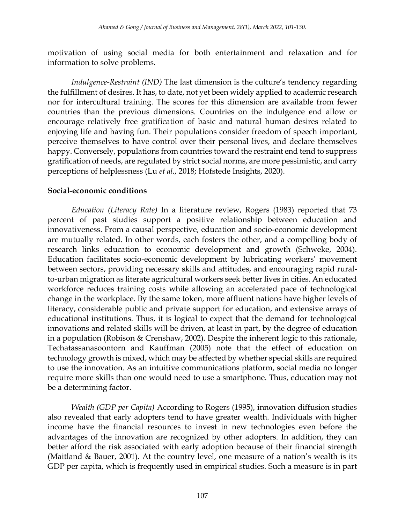motivation of using social media for both entertainment and relaxation and for information to solve problems.

*Indulgence-Restraint (IND)* The last dimension is the culture's tendency regarding the fulfillment of desires. It has, to date, not yet been widely applied to academic research nor for intercultural training. The scores for this dimension are available from fewer countries than the previous dimensions. Countries on the indulgence end allow or encourage relatively free gratification of basic and natural human desires related to enjoying life and having fun. Their populations consider freedom of speech important, perceive themselves to have control over their personal lives, and declare themselves happy. Conversely, populations from countries toward the restraint end tend to suppress gratification of needs, are regulated by strict social norms, are more pessimistic, and carry perceptions of helplessness (Lu *et al.*, 2018; Hofstede Insights, 2020).

## **Social-economic conditions**

*Education (Literacy Rate)* In a literature review, Rogers (1983) reported that 73 percent of past studies support a positive relationship between education and innovativeness. From a causal perspective, education and socio-economic development are mutually related. In other words, each fosters the other, and a compelling body of research links education to economic development and growth (Schweke, 2004). Education facilitates socio-economic development by lubricating workers' movement between sectors, providing necessary skills and attitudes, and encouraging rapid ruralto-urban migration as literate agricultural workers seek better lives in cities. An educated workforce reduces training costs while allowing an accelerated pace of technological change in the workplace. By the same token, more affluent nations have higher levels of literacy, considerable public and private support for education, and extensive arrays of educational institutions. Thus, it is logical to expect that the demand for technological innovations and related skills will be driven, at least in part, by the degree of education in a population (Robison & Crenshaw, 2002). Despite the inherent logic to this rationale, Techatassanasoontorn and Kauffman (2005) note that the effect of education on technology growth is mixed, which may be affected by whether special skills are required to use the innovation. As an intuitive communications platform, social media no longer require more skills than one would need to use a smartphone. Thus, education may not be a determining factor.

*Wealth (GDP per Capita)* According to Rogers (1995), innovation diffusion studies also revealed that early adopters tend to have greater wealth. Individuals with higher income have the financial resources to invest in new technologies even before the advantages of the innovation are recognized by other adopters. In addition, they can better afford the risk associated with early adoption because of their financial strength (Maitland & Bauer, 2001). At the country level, one measure of a nation's wealth is its GDP per capita, which is frequently used in empirical studies. Such a measure is in part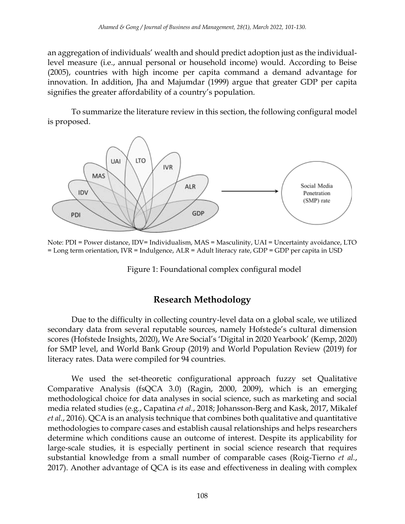an aggregation of individuals' wealth and should predict adoption just as the individuallevel measure (i.e., annual personal or household income) would. According to Beise (2005), countries with high income per capita command a demand advantage for innovation. In addition, Jha and Majumdar (1999) argue that greater GDP per capita signifies the greater affordability of a country's population.

To summarize the literature review in this section, the following configural model is proposed.



Note: PDI = Power distance, IDV= Individualism, MAS = Masculinity, UAI = Uncertainty avoidance, LTO = Long term orientation, IVR = Indulgence, ALR = Adult literacy rate, GDP = GDP per capita in USD

Figure 1: Foundational complex configural model

# **Research Methodology**

Due to the difficulty in collecting country-level data on a global scale, we utilized secondary data from several reputable sources, namely Hofstede's cultural dimension scores (Hofstede Insights, 2020), We Are Social's 'Digital in 2020 Yearbook' (Kemp, 2020) for SMP level, and World Bank Group (2019) and World Population Review (2019) for literacy rates. Data were compiled for 94 countries.

We used the set-theoretic configurational approach fuzzy set Qualitative Comparative Analysis (fsQCA 3.0) (Ragin, 2000, 2009), which is an emerging methodological choice for data analyses in social science, such as marketing and social media related studies (e.g., Capatina *et al.*, 2018; Johansson-Berg and Kask, 2017, Mikalef *et al.*, 2016). QCA is an analysis technique that combines both qualitative and quantitative methodologies to compare cases and establish causal relationships and helps researchers determine which conditions cause an outcome of interest. Despite its applicability for large-scale studies, it is especially pertinent in social science research that requires substantial knowledge from a small number of comparable cases (Roig-Tierno *et al.*, 2017). Another advantage of QCA is its ease and effectiveness in dealing with complex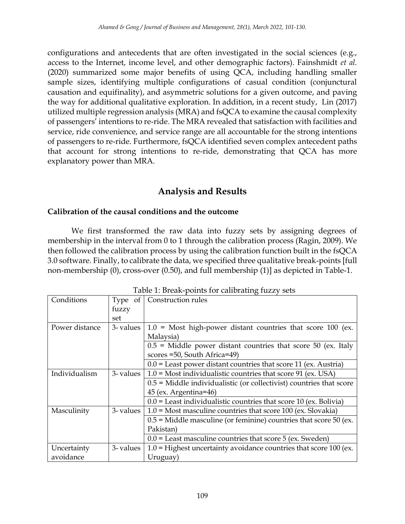configurations and antecedents that are often investigated in the social sciences (e.g., access to the Internet, income level, and other demographic factors). Fainshmidt *et al.* (2020) summarized some major benefits of using QCA, including handling smaller sample sizes, identifying multiple configurations of casual condition (conjunctural causation and equifinality), and asymmetric solutions for a given outcome, and paving the way for additional qualitative exploration. In addition, in a recent study, Lin (2017) utilized multiple regression analysis (MRA) and fsQCA to examine the causal complexity of passengers' intentions to re-ride. The MRA revealed that satisfaction with facilities and service, ride convenience, and service range are all accountable for the strong intentions of passengers to re-ride. Furthermore, fsQCA identified seven complex antecedent paths that account for strong intentions to re-ride, demonstrating that QCA has more explanatory power than MRA.

## **Analysis and Results**

## **Calibration of the causal conditions and the outcome**

We first transformed the raw data into fuzzy sets by assigning degrees of membership in the interval from 0 to 1 through the calibration process (Ragin, 2009). We then followed the calibration process by using the calibration function built in the fsQCA 3.0 software. Finally, to calibrate the data, we specified three qualitative break-points [full non-membership (0), cross-over (0.50), and full membership (1)] as depicted in Table-1.

|           | $\frac{1}{2}$ . Bream points for callentaring rada $\frac{1}{2}$               |
|-----------|--------------------------------------------------------------------------------|
| Type of   | Construction rules                                                             |
| fuzzy     |                                                                                |
| set       |                                                                                |
| 3- values | $1.0$ = Most high-power distant countries that score 100 (ex.                  |
|           | Malaysia)                                                                      |
|           | $0.5$ = Middle power distant countries that score 50 (ex. Italy                |
|           | scores = 50, South Africa=49)                                                  |
|           | $0.0$ = Least power distant countries that score 11 (ex. Austria)              |
|           | 3- values $\vert$ 1.0 = Most individualistic countries that score 91 (ex. USA) |
|           | $0.5$ = Middle individualistic (or collectivist) countries that score          |
|           | 45 (ex. Argentina=46)                                                          |
|           | $0.0$ = Least individualistic countries that score 10 (ex. Bolivia)            |
|           | 3- values $\vert$ 1.0 = Most masculine countries that score 100 (ex. Slovakia) |
|           | $0.5$ = Middle masculine (or feminine) countries that score 50 (ex.            |
|           | Pakistan)                                                                      |
|           | $0.0$ = Least masculine countries that score 5 (ex. Sweden)                    |
| 3- values | $1.0$ = Highest uncertainty avoidance countries that score 100 (ex.            |
|           | Uruguay)                                                                       |
|           |                                                                                |

Table 1: Break-points for calibrating fuzzy sets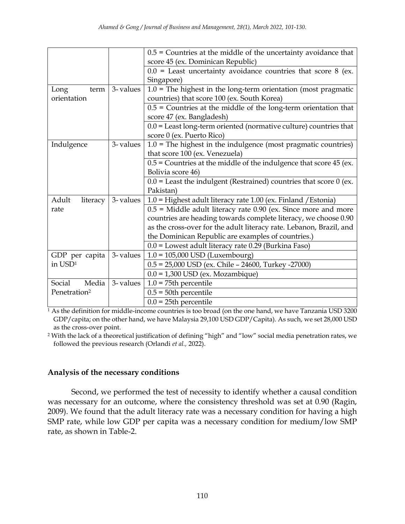|                          |          | $0.5$ = Countries at the middle of the uncertainty avoidance that    |
|--------------------------|----------|----------------------------------------------------------------------|
|                          |          | score 45 (ex. Dominican Republic)                                    |
|                          |          | $0.0$ = Least uncertainty avoidance countries that score 8 (ex.      |
|                          |          | Singapore)                                                           |
| Long<br>term             | 3-values | $1.0$ = The highest in the long-term orientation (most pragmatic     |
| orientation              |          | countries) that score 100 (ex. South Korea)                          |
|                          |          | $0.5$ = Countries at the middle of the long-term orientation that    |
|                          |          | score 47 (ex. Bangladesh)                                            |
|                          |          | $0.0$ = Least long-term oriented (normative culture) countries that  |
|                          |          | score 0 (ex. Puerto Rico)                                            |
| Indulgence               | 3-values | $1.0$ = The highest in the indulgence (most pragmatic countries)     |
|                          |          | that score 100 (ex. Venezuela)                                       |
|                          |          | $0.5$ = Countries at the middle of the indulgence that score 45 (ex. |
|                          |          | Bolivia score 46)                                                    |
|                          |          | $0.0$ = Least the indulgent (Restrained) countries that score 0 (ex. |
|                          |          | Pakistan)                                                            |
| Adult<br>literacy        | 3-values | $1.0$ = Highest adult literacy rate 1.00 (ex. Finland / Estonia)     |
| rate                     |          | $0.5$ = Middle adult literacy rate 0.90 (ex. Since more and more     |
|                          |          | countries are heading towards complete literacy, we choose 0.90      |
|                          |          | as the cross-over for the adult literacy rate. Lebanon, Brazil, and  |
|                          |          | the Dominican Republic are examples of countries.)                   |
|                          |          | 0.0 = Lowest adult literacy rate 0.29 (Burkina Faso)                 |
| GDP per capita           | 3-values | $1.0 = 105,000$ USD (Luxembourg)                                     |
| in USD <sup>1</sup>      |          | $0.5 = 25,000$ USD (ex. Chile - 24600, Turkey -27000)                |
|                          |          | $0.0 = 1,300$ USD (ex. Mozambique)                                   |
| Social<br>Media          | 3-values | $1.0 = 75$ th percentile                                             |
| Penetration <sup>2</sup> |          | $0.5 = 50$ th percentile                                             |
|                          |          | $0.0 = 25$ th percentile                                             |

 $1$  As the definition for middle-income countries is too broad (on the one hand, we have Tanzania USD 3200) GDP/capita; on the other hand, we have Malaysia 29,100 USD GDP/Capita). As such, we set 28,000 USD as the cross-over point.

<sup>2</sup> With the lack of a theoretical justification of defining "high" and "low" social media penetration rates, we followed the previous research (Orlandi *et al.,* 2022).

## **Analysis of the necessary conditions**

Second, we performed the test of necessity to identify whether a causal condition was necessary for an outcome, where the consistency threshold was set at 0.90 (Ragin, 2009). We found that the adult literacy rate was a necessary condition for having a high SMP rate, while low GDP per capita was a necessary condition for medium/low SMP rate, as shown in Table-2.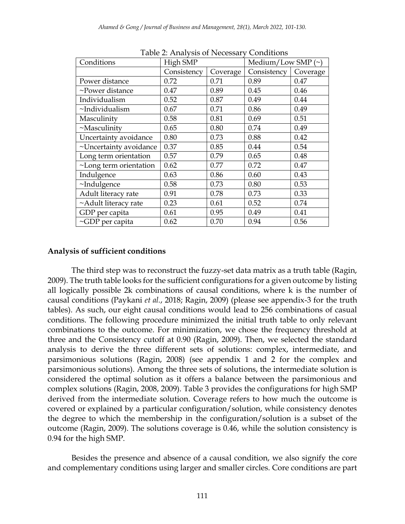| $1000C$ $\geq$ . Then $\sqrt{515}$ Of T vecessed $\sqrt{7}$<br><u>Contantions</u> |             |          |                         |          |  |  |  |  |  |  |
|-----------------------------------------------------------------------------------|-------------|----------|-------------------------|----------|--|--|--|--|--|--|
| Conditions                                                                        | High SMP    |          | Medium/Low SMP $(\sim)$ |          |  |  |  |  |  |  |
|                                                                                   | Consistency | Coverage | Consistency             | Coverage |  |  |  |  |  |  |
| Power distance                                                                    | 0.72        | 0.71     | 0.89                    | 0.47     |  |  |  |  |  |  |
| ~Power distance                                                                   | 0.47        | 0.89     | 0.45                    | 0.46     |  |  |  |  |  |  |
| Individualism                                                                     | 0.52        | 0.87     | 0.49                    | 0.44     |  |  |  |  |  |  |
| ~Individualism                                                                    | 0.67        | 0.71     | 0.86                    | 0.49     |  |  |  |  |  |  |
| Masculinity                                                                       | 0.58        | 0.81     | 0.69                    | 0.51     |  |  |  |  |  |  |
| $~\sim$ Masculinity                                                               | 0.65        | 0.80     | 0.74                    | 0.49     |  |  |  |  |  |  |
| Uncertainty avoidance                                                             | 0.80        | 0.73     | 0.88                    | 0.42     |  |  |  |  |  |  |
| ~Uncertainty avoidance                                                            | 0.37        | 0.85     | 0.44                    | 0.54     |  |  |  |  |  |  |
| Long term orientation                                                             | 0.57        | 0.79     | 0.65                    | 0.48     |  |  |  |  |  |  |
| ~Long term orientation                                                            | 0.62        | 0.77     | 0.72                    | 0.47     |  |  |  |  |  |  |
| Indulgence                                                                        | 0.63        | 0.86     | 0.60                    | 0.43     |  |  |  |  |  |  |
| $\nu$ Indulgence                                                                  | 0.58        | 0.73     | 0.80                    | 0.53     |  |  |  |  |  |  |
| Adult literacy rate                                                               | 0.91        | 0.78     | 0.73                    | 0.33     |  |  |  |  |  |  |
| ~Adult literacy rate                                                              | 0.23        | 0.61     | 0.52                    | 0.74     |  |  |  |  |  |  |
| GDP per capita                                                                    | 0.61        | 0.95     | 0.49                    | 0.41     |  |  |  |  |  |  |
| ~GDP per capita                                                                   | 0.62        | 0.70     | 0.94                    | 0.56     |  |  |  |  |  |  |

Table 2: Analysis of Necessary Conditions

#### **Analysis of sufficient conditions**

The third step was to reconstruct the fuzzy-set data matrix as a truth table (Ragin, 2009). The truth table looks for the sufficient configurations for a given outcome by listing all logically possible 2k combinations of causal conditions, where k is the number of causal conditions (Paykani *et al.*, 2018; Ragin, 2009) (please see appendix-3 for the truth tables). As such, our eight causal conditions would lead to 256 combinations of casual conditions. The following procedure minimized the initial truth table to only relevant combinations to the outcome. For minimization, we chose the frequency threshold at three and the Consistency cutoff at 0.90 (Ragin, 2009). Then, we selected the standard analysis to derive the three different sets of solutions: complex, intermediate, and parsimonious solutions (Ragin, 2008) (see appendix 1 and 2 for the complex and parsimonious solutions). Among the three sets of solutions, the intermediate solution is considered the optimal solution as it offers a balance between the parsimonious and complex solutions (Ragin, 2008, 2009). Table 3 provides the configurations for high SMP derived from the intermediate solution. Coverage refers to how much the outcome is covered or explained by a particular configuration/solution, while consistency denotes the degree to which the membership in the configuration/solution is a subset of the outcome (Ragin, 2009). The solutions coverage is 0.46, while the solution consistency is 0.94 for the high SMP.

Besides the presence and absence of a causal condition, we also signify the core and complementary conditions using larger and smaller circles. Core conditions are part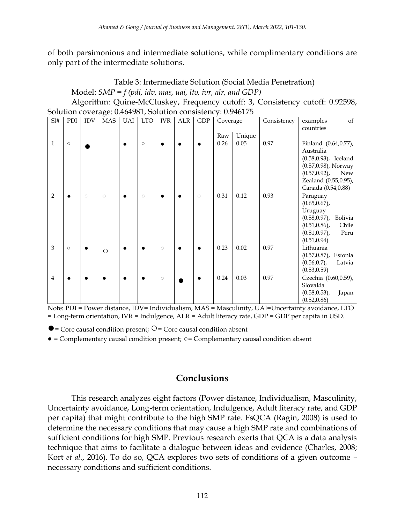of both parsimonious and intermediate solutions, while complimentary conditions are only part of the intermediate solutions.

Table 3: Intermediate Solution (Social Media Penetration) Model: *SMP = f (pdi, idv, mas, uai, lto, ivr, alr, and GDP)*

Algorithm: Quine-McCluskey, Frequency cutoff: 3, Consistency cutoff: 0.92598, Solution coverage: 0.464981, Solution consistency: 0.946175

| SI#            | PDI     | <b>IDV</b> | <b>MAS</b> | UAI       | <b>LTO</b> | <b>IVR</b> | <b>ALR</b> | <b>GDP</b> | Coverage |        | Consistency | examples<br>of            |
|----------------|---------|------------|------------|-----------|------------|------------|------------|------------|----------|--------|-------------|---------------------------|
|                |         |            |            |           |            |            |            |            |          |        |             | countries                 |
|                |         |            |            |           |            |            |            |            | Raw      | Unique |             |                           |
| $\mathbf{1}$   | $\circ$ |            |            | $\bullet$ | $\circ$    | $\bullet$  | $\bullet$  | $\bullet$  | 0.26     | 0.05   | 0.97        | Finland (0.64,0.77),      |
|                |         |            |            |           |            |            |            |            |          |        |             | Australia                 |
|                |         |            |            |           |            |            |            |            |          |        |             | $(0.58, 0.93)$ , Iceland  |
|                |         |            |            |           |            |            |            |            |          |        |             | (0.57,0.98), Norway       |
|                |         |            |            |           |            |            |            |            |          |        |             | $(0.57, 0.92)$ , New      |
|                |         |            |            |           |            |            |            |            |          |        |             | Zealand (0.55,0.95),      |
|                |         |            |            |           |            |            |            |            |          |        |             | Canada (0.54,0.88)        |
| $\overline{2}$ |         | $\circ$    | $\circ$    | $\bullet$ | $\circ$    |            | $\bullet$  | $\circ$    | 0.31     | 0.12   | 0.93        | Paraguay                  |
|                |         |            |            |           |            |            |            |            |          |        |             | $(0.65, 0.67)$ ,          |
|                |         |            |            |           |            |            |            |            |          |        |             | Uruguay                   |
|                |         |            |            |           |            |            |            |            |          |        |             | (0.58,0.97), Bolivia      |
|                |         |            |            |           |            |            |            |            |          |        |             | $(0.51, 0.86)$ ,<br>Chile |
|                |         |            |            |           |            |            |            |            |          |        |             | $(0.51, 0.97)$ ,<br>Peru  |
|                |         |            |            |           |            |            |            |            |          |        |             | (0.51, 0.94)              |
| 3              | $\circ$ | $\bullet$  |            |           |            | $\circ$    |            | $\bullet$  | 0.23     | 0.02   | 0.97        | Lithuania                 |
|                |         |            | $\circ$    |           |            |            |            |            |          |        |             | (0.57,0.87), Estonia      |
|                |         |            |            |           |            |            |            |            |          |        |             | $(0.56, 0.7)$ ,<br>Latvia |
|                |         |            |            |           |            |            |            |            |          |        |             | (0.53, 0.59)              |
| 4              |         | $\bullet$  |            | $\bullet$ |            | $\circ$    |            | $\bullet$  | 0.24     | 0.03   | 0.97        | Czechia (0.60,0.59),      |
|                |         |            |            |           |            |            |            |            |          |        |             | Slovakia                  |
|                |         |            |            |           |            |            |            |            |          |        |             |                           |
|                |         |            |            |           |            |            |            |            |          |        |             | $(0.58, 0.53)$ ,<br>Japan |
|                |         |            |            |           |            |            |            |            |          |        |             | (0.52, 0.86)              |

Note: PDI = Power distance, IDV= Individualism, MAS = Masculinity, UAI=Uncertainty avoidance, LTO = Long-term orientation, IVR = Indulgence, ALR = Adult literacy rate, GDP = GDP per capita in USD.

 $\bullet$  = Core causal condition present;  $\circ$  = Core causal condition absent

● = Complementary causal condition present; ○= Complementary causal condition absent

# **Conclusions**

This research analyzes eight factors (Power distance, Individualism, Masculinity, Uncertainty avoidance, Long-term orientation, Indulgence, Adult literacy rate, and GDP per capita) that might contribute to the high SMP rate. FsQCA (Ragin, 2008) is used to determine the necessary conditions that may cause a high SMP rate and combinations of sufficient conditions for high SMP. Previous research exerts that QCA is a data analysis technique that aims to facilitate a dialogue between ideas and evidence (Charles, 2008; Kort *et al.*, 2016). To do so, QCA explores two sets of conditions of a given outcome – necessary conditions and sufficient conditions.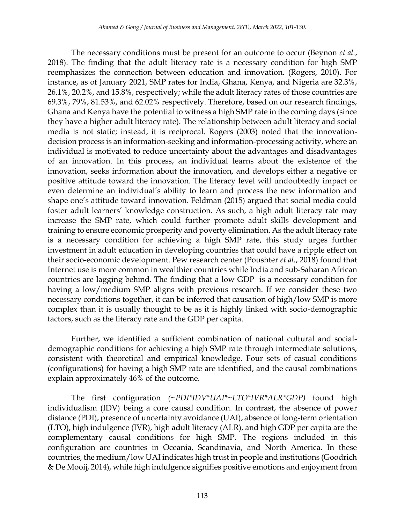The necessary conditions must be present for an outcome to occur (Beynon *et al.*, 2018). The finding that the adult literacy rate is a necessary condition for high SMP reemphasizes the connection between education and innovation. (Rogers, 2010). For instance, as of January 2021, SMP rates for India, Ghana, Kenya, and Nigeria are 32.3%, 26.1%, 20.2%, and 15.8%, respectively; while the adult literacy rates of those countries are 69.3%, 79%, 81.53%, and 62.02% respectively. Therefore, based on our research findings, Ghana and Kenya have the potential to witness a high SMP rate in the coming days (since they have a higher adult literacy rate). The relationship between adult literacy and social media is not static; instead, it is reciprocal. Rogers (2003) noted that the innovationdecision process is an information-seeking and information-processing activity, where an individual is motivated to reduce uncertainty about the advantages and disadvantages of an innovation. In this process, an individual learns about the existence of the innovation, seeks information about the innovation, and develops either a negative or positive attitude toward the innovation. The literacy level will undoubtedly impact or even determine an individual's ability to learn and process the new information and shape one's attitude toward innovation. Feldman (2015) argued that social media could foster adult learners' knowledge construction. As such, a high adult literacy rate may increase the SMP rate, which could further promote adult skills development and training to ensure economic prosperity and poverty elimination. As the adult literacy rate is a necessary condition for achieving a high SMP rate, this study urges further investment in adult education in developing countries that could have a ripple effect on their socio-economic development. Pew research center (Poushter *et al.*, 2018) found that Internet use is more common in wealthier countries while India and sub-Saharan African countries are lagging behind. The finding that a low GDP is a necessary condition for having a low/medium SMP aligns with previous research. If we consider these two necessary conditions together, it can be inferred that causation of high/low SMP is more complex than it is usually thought to be as it is highly linked with socio-demographic factors, such as the literacy rate and the GDP per capita.

Further, we identified a sufficient combination of national cultural and socialdemographic conditions for achieving a high SMP rate through intermediate solutions, consistent with theoretical and empirical knowledge. Four sets of casual conditions (configurations) for having a high SMP rate are identified, and the causal combinations explain approximately 46% of the outcome.

The first configuration *(~PDI\*IDV\*UAI\*~LTO\*IVR\*ALR\*GDP)* found high individualism (IDV) being a core causal condition. In contrast, the absence of power distance (PDI), presence of uncertainty avoidance (UAI), absence of long-term orientation (LTO), high indulgence (IVR), high adult literacy (ALR), and high GDP per capita are the complementary causal conditions for high SMP. The regions included in this configuration are countries in Oceania, Scandinavia, and North America. In these countries, the medium/low UAI indicates high trust in people and institutions (Goodrich & De Mooij, 2014), while high indulgence signifies positive emotions and enjoyment from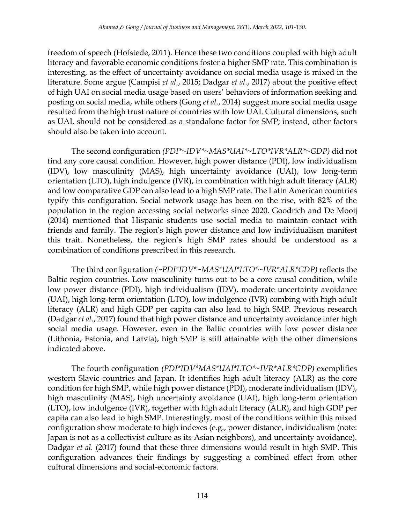freedom of speech (Hofstede, 2011). Hence these two conditions coupled with high adult literacy and favorable economic conditions foster a higher SMP rate. This combination is interesting, as the effect of uncertainty avoidance on social media usage is mixed in the literature. Some argue (Campisi *et al.*, 2015; Dadgar *et al.*, 2017) about the positive effect of high UAI on social media usage based on users' behaviors of information seeking and posting on social media, while others (Gong *et al.*, 2014) suggest more social media usage resulted from the high trust nature of countries with low UAI. Cultural dimensions, such as UAI, should not be considered as a standalone factor for SMP; instead, other factors should also be taken into account.

The second configuration *(PDI\*~IDV\*~MAS\*UAI\*~LTO\*IVR\*ALR\*~GDP)* did not find any core causal condition. However, high power distance (PDI), low individualism (IDV), low masculinity (MAS), high uncertainty avoidance (UAI), low long-term orientation (LTO), high indulgence (IVR), in combination with high adult literacy (ALR) and low comparative GDP can also lead to a high SMP rate. The Latin American countries typify this configuration. Social network usage has been on the rise, with 82% of the population in the region accessing social networks since 2020. Goodrich and De Mooij (2014) mentioned that Hispanic students use social media to maintain contact with friends and family. The region's high power distance and low individualism manifest this trait. Nonetheless, the region's high SMP rates should be understood as a combination of conditions prescribed in this research.

The third configuration *(~PDI\*IDV\*~MAS\*UAI\*LTO\*~IVR\*ALR\*GDP)* reflects the Baltic region countries. Low masculinity turns out to be a core causal condition, while low power distance (PDI), high individualism (IDV), moderate uncertainty avoidance (UAI), high long-term orientation (LTO), low indulgence (IVR) combing with high adult literacy (ALR) and high GDP per capita can also lead to high SMP. Previous research (Dadgar *et al.*, 2017) found that high power distance and uncertainty avoidance infer high social media usage. However, even in the Baltic countries with low power distance (Lithonia, Estonia, and Latvia), high SMP is still attainable with the other dimensions indicated above.

The fourth configuration *(PDI\*IDV\*MAS\*UAI\*LTO\*~IVR\*ALR\*GDP)* exemplifies western Slavic countries and Japan. It identifies high adult literacy (ALR) as the core condition for high SMP, while high power distance (PDI), moderate individualism (IDV), high masculinity (MAS), high uncertainty avoidance (UAI), high long-term orientation (LTO), low indulgence (IVR), together with high adult literacy (ALR), and high GDP per capita can also lead to high SMP. Interestingly, most of the conditions within this mixed configuration show moderate to high indexes (e.g., power distance, individualism (note: Japan is not as a collectivist culture as its Asian neighbors), and uncertainty avoidance). Dadgar *et al.* (2017) found that these three dimensions would result in high SMP. This configuration advances their findings by suggesting a combined effect from other cultural dimensions and social-economic factors.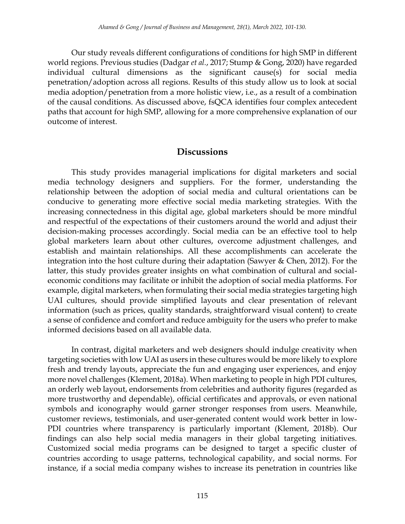Our study reveals different configurations of conditions for high SMP in different world regions. Previous studies (Dadgar *et al.*, 2017; Stump & Gong, 2020) have regarded individual cultural dimensions as the significant cause(s) for social media penetration/adoption across all regions. Results of this study allow us to look at social media adoption/penetration from a more holistic view, i.e., as a result of a combination of the causal conditions. As discussed above, fsQCA identifies four complex antecedent paths that account for high SMP, allowing for a more comprehensive explanation of our outcome of interest.

## **Discussions**

This study provides managerial implications for digital marketers and social media technology designers and suppliers. For the former, understanding the relationship between the adoption of social media and cultural orientations can be conducive to generating more effective social media marketing strategies. With the increasing connectedness in this digital age, global marketers should be more mindful and respectful of the expectations of their customers around the world and adjust their decision-making processes accordingly. Social media can be an effective tool to help global marketers learn about other cultures, overcome adjustment challenges, and establish and maintain relationships. All these accomplishments can accelerate the integration into the host culture during their adaptation (Sawyer & Chen, 2012). For the latter, this study provides greater insights on what combination of cultural and socialeconomic conditions may facilitate or inhibit the adoption of social media platforms. For example, digital marketers, when formulating their social media strategies targeting high UAI cultures, should provide simplified layouts and clear presentation of relevant information (such as prices, quality standards, straightforward visual content) to create a sense of confidence and comfort and reduce ambiguity for the users who prefer to make informed decisions based on all available data.

In contrast, digital marketers and web designers should indulge creativity when targeting societies with low UAI as users in these cultures would be more likely to explore fresh and trendy layouts, appreciate the fun and engaging user experiences, and enjoy more novel challenges (Klement, 2018a). When marketing to people in high PDI cultures, an orderly web layout, endorsements from celebrities and authority figures (regarded as more trustworthy and dependable), official certificates and approvals, or even national symbols and iconography would garner stronger responses from users. Meanwhile, customer reviews, testimonials, and user-generated content would work better in low-PDI countries where transparency is particularly important (Klement, 2018b). Our findings can also help social media managers in their global targeting initiatives. Customized social media programs can be designed to target a specific cluster of countries according to usage patterns, technological capability, and social norms. For instance, if a social media company wishes to increase its penetration in countries like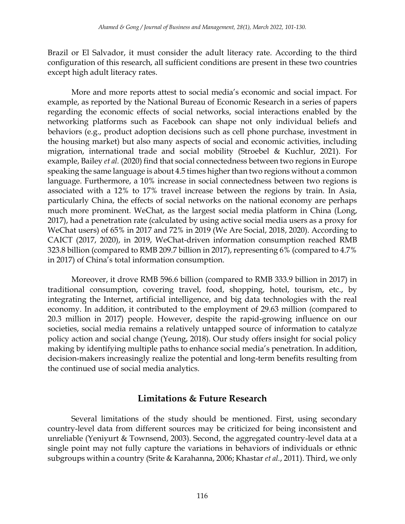Brazil or El Salvador, it must consider the adult literacy rate. According to the third configuration of this research, all sufficient conditions are present in these two countries except high adult literacy rates.

More and more reports attest to social media's economic and social impact. For example, as reported by the National Bureau of Economic Research in a series of papers regarding the economic effects of social networks, social interactions enabled by the networking platforms such as Facebook can shape not only individual beliefs and behaviors (e.g., product adoption decisions such as cell phone purchase, investment in the housing market) but also many aspects of social and economic activities, including migration, international trade and social mobility (Stroebel & Kuchlur, 2021). For example, Bailey *et al.* (2020) find that social connectedness between two regions in Europe speaking the same language is about 4.5 times higher than two regions without a common language. Furthermore, a 10% increase in social connectedness between two regions is associated with a 12% to 17% travel increase between the regions by train. In Asia, particularly China, the effects of social networks on the national economy are perhaps much more prominent. WeChat, as the largest social media platform in China (Long, 2017), had a penetration rate (calculated by using active social media users as a proxy for WeChat users) of 65% in 2017 and 72% in 2019 (We Are Social, 2018, 2020). According to CAICT (2017, 2020), in 2019, WeChat-driven information consumption reached RMB 323.8 billion (compared to RMB 209.7 billion in 2017), representing 6% (compared to 4.7% in 2017) of China's total information consumption.

Moreover, it drove RMB 596.6 billion (compared to RMB 333.9 billion in 2017) in traditional consumption, covering travel, food, shopping, hotel, tourism, etc., by integrating the Internet, artificial intelligence, and big data technologies with the real economy. In addition, it contributed to the employment of 29.63 million (compared to 20.3 million in 2017) people. However, despite the rapid-growing influence on our societies, social media remains a relatively untapped source of information to catalyze policy action and social change (Yeung, 2018). Our study offers insight for social policy making by identifying multiple paths to enhance social media's penetration. In addition, decision-makers increasingly realize the potential and long-term benefits resulting from the continued use of social media analytics.

## **Limitations & Future Research**

Several limitations of the study should be mentioned. First, using secondary country-level data from different sources may be criticized for being inconsistent and unreliable (Yeniyurt & Townsend, 2003). Second, the aggregated country-level data at a single point may not fully capture the variations in behaviors of individuals or ethnic subgroups within a country (Srite & Karahanna, 2006; Khastar *et al.*, 2011). Third, we only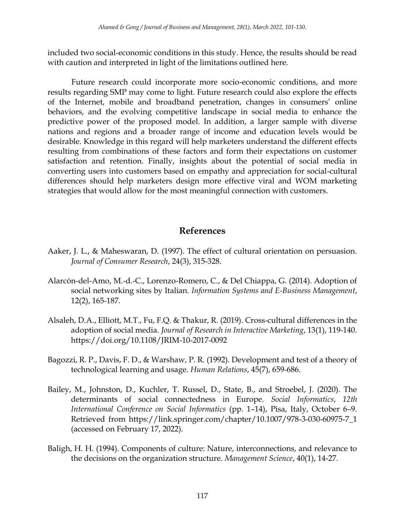included two social-economic conditions in this study. Hence, the results should be read with caution and interpreted in light of the limitations outlined here.

Future research could incorporate more socio-economic conditions, and more results regarding SMP may come to light. Future research could also explore the effects of the Internet, mobile and broadband penetration, changes in consumers' online behaviors, and the evolving competitive landscape in social media to enhance the predictive power of the proposed model. In addition, a larger sample with diverse nations and regions and a broader range of income and education levels would be desirable. Knowledge in this regard will help marketers understand the different effects resulting from combinations of these factors and form their expectations on customer satisfaction and retention. Finally, insights about the potential of social media in converting users into customers based on empathy and appreciation for social-cultural differences should help marketers design more effective viral and WOM marketing strategies that would allow for the most meaningful connection with customers.

# **References**

- Aaker, J. L., & Maheswaran, D. (1997). The effect of cultural orientation on persuasion. *Journal of Consumer Research*, 24(3), 315-328.
- Alarcón-del-Amo, M.-d.-C., Lorenzo-Romero, C., & Del Chiappa, G. (2014). Adoption of social networking sites by Italian. *Information Systems and E-Business Management*, 12(2), 165-187.
- Alsaleh, D.A., Elliott, M.T., Fu, F.Q. & Thakur, R. (2019). Cross-cultural differences in the adoption of social media. *Journal of Research in Interactive Marketing*, 13(1), 119-140. https://doi.org/10.1108/JRIM-10-2017-0092
- Bagozzi, R. P., Davis, F. D., & Warshaw, P. R. (1992). Development and test of a theory of technological learning and usage. *Human Relations*, 45(7), 659-686.
- Bailey, M., Johnston, D., Kuchler, T. Russel, D., State, B., and Stroebel, J. (2020). The determinants of social connectedness in Europe. *Social Informatics*, *12th International Conference on Social Informatics* (pp. 1–14), Pisa, Italy, October 6–9. Retrieved from https://link.springer.com/chapter/10.1007/978-3-030-60975-7\_1 (accessed on February 17, 2022).
- Baligh, H. H. (1994). Components of culture: Nature, interconnections, and relevance to the decisions on the organization structure. *Management Science*, 40(1), 14-27.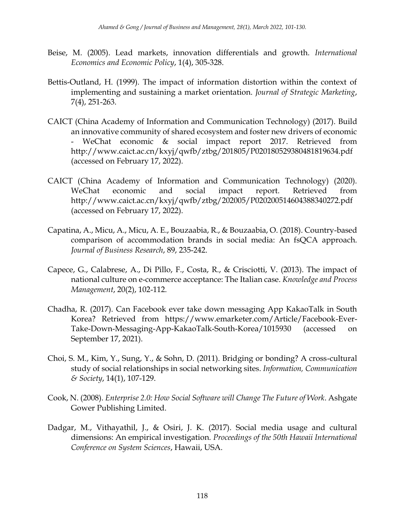- Beise, M. (2005). Lead markets, innovation differentials and growth. *International Economics and Economic Policy*, 1(4), 305-328.
- Bettis-Outland, H. (1999). The impact of information distortion within the context of implementing and sustaining a market orientation. *Journal of Strategic Marketing*, 7(4), 251-263.
- CAICT (China Academy of Information and Communication Technology) (2017). Build an innovative community of shared ecosystem and foster new drivers of economic - WeChat economic & social impact report 2017. Retrieved from http://www.caict.ac.cn/kxyj/qwfb/ztbg/201805/P020180529380481819634.pdf (accessed on February 17, 2022).
- CAICT (China Academy of Information and Communication Technology) (2020). WeChat economic and social impact report. Retrieved from http://www.caict.ac.cn/kxyj/qwfb/ztbg/202005/P020200514604388340272.pdf (accessed on February 17, 2022).
- Capatina, A., Micu, A., Micu, A. E., Bouzaabia, R., & Bouzaabia, O. (2018). Country-based comparison of accommodation brands in social media: An fsQCA approach. *Journal of Business Research*, 89, 235-242.
- Capece, G., Calabrese, A., Di Pillo, F., Costa, R., & Crisciotti, V. (2013). The impact of national culture on e‐commerce acceptance: The Italian case. *Knowledge and Process Management*, 20(2), 102-112.
- Chadha, R. (2017). Can Facebook ever take down messaging App KakaoTalk in South Korea? Retrieved from https://www.emarketer.com/Article/Facebook-Ever-Take-Down-Messaging-App-KakaoTalk-South-Korea/1015930 (accessed on September 17, 2021).
- Choi, S. M., Kim, Y., Sung, Y., & Sohn, D. (2011). Bridging or bonding? A cross-cultural study of social relationships in social networking sites. *Information, Communication & Society*, 14(1), 107-129.
- Cook, N. (2008). *Enterprise 2.0: How Social Software will Change The Future of Work*. Ashgate Gower Publishing Limited.
- Dadgar, M., Vithayathil, J., & Osiri, J. K. (2017). Social media usage and cultural dimensions: An empirical investigation. *Proceedings of the 50th Hawaii International Conference on System Sciences*, Hawaii, USA.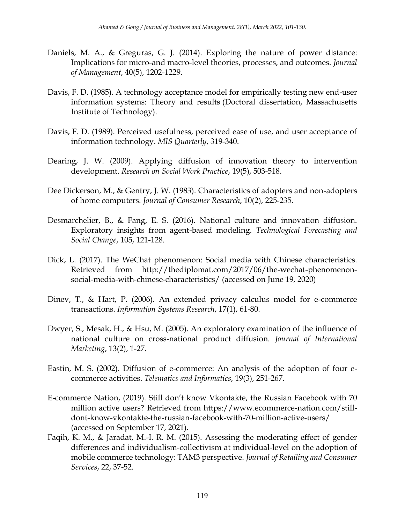- Daniels, M. A., & Greguras, G. J. (2014). Exploring the nature of power distance: Implications for micro-and macro-level theories, processes, and outcomes. *Journal of Management*, 40(5), 1202-1229.
- Davis, F. D. (1985). A technology acceptance model for empirically testing new end-user information systems: Theory and results (Doctoral dissertation, Massachusetts Institute of Technology).
- Davis, F. D. (1989). Perceived usefulness, perceived ease of use, and user acceptance of information technology. *MIS Quarterly*, 319-340.
- Dearing, J. W. (2009). Applying diffusion of innovation theory to intervention development. *Research on Social Work Practice*, 19(5), 503-518.
- Dee Dickerson, M., & Gentry, J. W. (1983). Characteristics of adopters and non-adopters of home computers. *Journal of Consumer Research*, 10(2), 225-235.
- Desmarchelier, B., & Fang, E. S. (2016). National culture and innovation diffusion. Exploratory insights from agent-based modeling. *Technological Forecasting and Social Change*, 105, 121-128.
- Dick, L. (2017). The WeChat phenomenon: Social media with Chinese characteristics. Retrieved from http://thediplomat.com/2017/06/the-wechat-phenomenonsocial-media-with-chinese-characteristics/ (accessed on June 19, 2020)
- Dinev, T., & Hart, P. (2006). An extended privacy calculus model for e-commerce transactions. *Information Systems Research*, 17(1), 61-80.
- Dwyer, S., Mesak, H., & Hsu, M. (2005). An exploratory examination of the influence of national culture on cross-national product diffusion. *Journal of International Marketing*, 13(2), 1-27.
- Eastin, M. S. (2002). Diffusion of e-commerce: An analysis of the adoption of four ecommerce activities. *Telematics and Informatics*, 19(3), 251-267.
- E-commerce Nation, (2019). Still don't know Vkontakte, the Russian Facebook with 70 million active users? Retrieved from https://www.ecommerce-nation.com/stilldont-know-vkontakte-the-russian-facebook-with-70-million-active-users/ (accessed on September 17, 2021).
- Faqih, K. M., & Jaradat, M.-I. R. M. (2015). Assessing the moderating effect of gender differences and individualism-collectivism at individual-level on the adoption of mobile commerce technology: TAM3 perspective. *Journal of Retailing and Consumer Services*, 22, 37-52.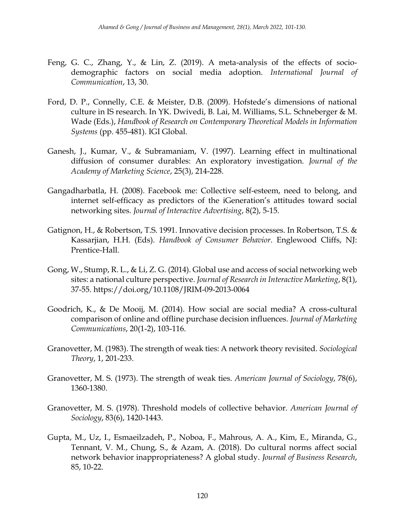- Feng, G. C., Zhang, Y., & Lin, Z. (2019). A meta-analysis of the effects of sociodemographic factors on social media adoption. *International Journal of Communication*, 13, 30.
- Ford, D. P., Connelly, C.E. & Meister, D.B. (2009). Hofstede's dimensions of national culture in IS research. In YK. Dwivedi, B. Lai, M. Williams, S.L. Schneberger & M. Wade (Eds.), *Handbook of Research on Contemporary Theoretical Models in Information Systems* (pp. 455-481). IGI Global.
- Ganesh, J., Kumar, V., & Subramaniam, V. (1997). Learning effect in multinational diffusion of consumer durables: An exploratory investigation. *Journal of the Academy of Marketing Science*, 25(3), 214-228.
- Gangadharbatla, H. (2008). Facebook me: Collective self-esteem, need to belong, and internet self-efficacy as predictors of the iGeneration's attitudes toward social networking sites. *Journal of Interactive Advertising*, 8(2), 5-15.
- Gatignon, H., & Robertson, T.S. 1991. Innovative decision processes. In Robertson, T.S. & Kassarjian, H.H. (Eds). *Handbook of Consumer Behavior*. Englewood Cliffs, NJ: Prentice-Hall.
- Gong, W., Stump, R. L., & Li, Z. G. (2014). Global use and access of social networking web sites: a national culture perspective. *Journal of Research in Interactive Marketing*, 8(1), 37-55. https://doi.org/10.1108/JRIM-09-2013-0064
- Goodrich, K., & De Mooij, M. (2014). How social are social media? A cross-cultural comparison of online and offline purchase decision influences. *Journal of Marketing Communications*, 20(1-2), 103-116.
- Granovetter, M. (1983). The strength of weak ties: A network theory revisited. *Sociological Theory*, 1, 201-233.
- Granovetter, M. S. (1973). The strength of weak ties. *American Journal of Sociology*, 78(6), 1360-1380.
- Granovetter, M. S. (1978). Threshold models of collective behavior. *American Journal of Sociology*, 83(6), 1420-1443.
- Gupta, M., Uz, I., Esmaeilzadeh, P., Noboa, F., Mahrous, A. A., Kim, E., Miranda, G., Tennant, V. M., Chung, S., & Azam, A. (2018). Do cultural norms affect social network behavior inappropriateness? A global study. *Journal of Business Research*, 85, 10-22.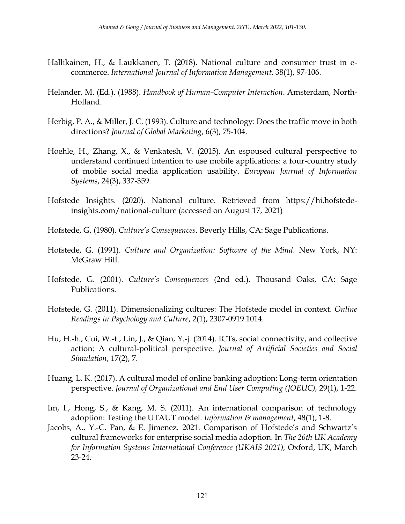- Hallikainen, H., & Laukkanen, T. (2018). National culture and consumer trust in ecommerce. *International Journal of Information Management*, 38(1), 97-106.
- Helander, M. (Ed.). (1988). *Handbook of Human-Computer Interaction*. Amsterdam, North-Holland.
- Herbig, P. A., & Miller, J. C. (1993). Culture and technology: Does the traffic move in both directions? *Journal of Global Marketing*, 6(3), 75-104.
- Hoehle, H., Zhang, X., & Venkatesh, V. (2015). An espoused cultural perspective to understand continued intention to use mobile applications: a four-country study of mobile social media application usability. *European Journal of Information Systems*, 24(3), 337-359.
- Hofstede Insights. (2020). National culture. Retrieved from https://hi.hofstedeinsights.com/national-culture (accessed on August 17, 2021)
- Hofstede, G. (1980). *Culture's Consequences*. Beverly Hills, CA: Sage Publications.
- Hofstede, G. (1991). *Culture and Organization: Software of the Mind*. New York, NY: McGraw Hill.
- Hofstede, G. (2001). *Culture's Consequences* (2nd ed.). Thousand Oaks, CA: Sage Publications.
- Hofstede, G. (2011). Dimensionalizing cultures: The Hofstede model in context. *Online Readings in Psychology and Culture*, 2(1), 2307-0919.1014.
- Hu, H.-h., Cui, W.-t., Lin, J., & Qian, Y.-j. (2014). ICTs, social connectivity, and collective action: A cultural-political perspective. *Journal of Artificial Societies and Social Simulation*, 17(2), 7.
- Huang, L. K. (2017). A cultural model of online banking adoption: Long-term orientation perspective. *Journal of Organizational and End User Computing (JOEUC),* 29(1), 1-22.
- Im, I., Hong, S., & Kang, M. S. (2011). An international comparison of technology adoption: Testing the UTAUT model. *Information & management*, 48(1), 1-8.
- Jacobs, A., Y.-C. Pan, & E. Jimenez. 2021. Comparison of Hofstede's and Schwartz's cultural frameworks for enterprise social media adoption. In *The 26th UK Academy for Information Systems International Conference (UKAIS 2021),* Oxford, UK, March 23-24.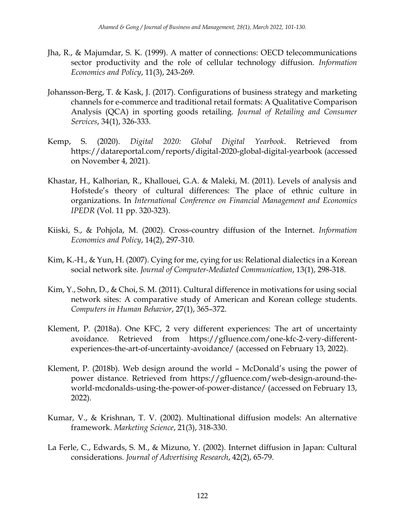- Jha, R., & Majumdar, S. K. (1999). A matter of connections: OECD telecommunications sector productivity and the role of cellular technology diffusion. *Information Economics and Policy*, 11(3), 243-269.
- Johansson-Berg, T. & Kask, J. (2017). Configurations of business strategy and marketing channels for e-commerce and traditional retail formats: A Qualitative Comparison Analysis (QCA) in sporting goods retailing. *Journal of Retailing and Consumer Services*, 34(1), 326-333.
- Kemp, S. (2020). *Digital 2020: Global Digital Yearbook*. Retrieved from https://datareportal.com/reports/digital-2020-global-digital-yearbook (accessed on November 4, 2021).
- Khastar, H., Kalhorian, R., Khallouei, G.A. & Maleki, M. (2011). Levels of analysis and Hofstede's theory of cultural differences: The place of ethnic culture in organizations. In *International Conference on Financial Management and Economics IPEDR* (Vol. 11 pp. 320-323).
- Kiiski, S., & Pohjola, M. (2002). Cross-country diffusion of the Internet. *Information Economics and Policy*, 14(2), 297-310.
- Kim, K.-H., & Yun, H. (2007). Cying for me, cying for us: Relational dialectics in a Korean social network site. *Journal of Computer-Mediated Communication*, 13(1), 298-318.
- Kim, Y., Sohn, D., & Choi, S. M. (2011). Cultural difference in motivations for using social network sites: A comparative study of American and Korean college students. *Computers in Human Behavior*, 27(1), 365–372.
- Klement, P. (2018a). One KFC, 2 very different experiences: The art of uncertainty avoidance. Retrieved from https://gfluence.com/one-kfc-2-very-differentexperiences-the-art-of-uncertainty-avoidance/ (accessed on February 13, 2022).
- Klement, P. (2018b). Web design around the world McDonald's using the power of power distance. Retrieved from https://gfluence.com/web-design-around-theworld-mcdonalds-using-the-power-of-power-distance/ (accessed on February 13, 2022).
- Kumar, V., & Krishnan, T. V. (2002). Multinational diffusion models: An alternative framework. *Marketing Science*, 21(3), 318-330.
- La Ferle, C., Edwards, S. M., & Mizuno, Y. (2002). Internet diffusion in Japan: Cultural considerations. *Journal of Advertising Research*, 42(2), 65-79.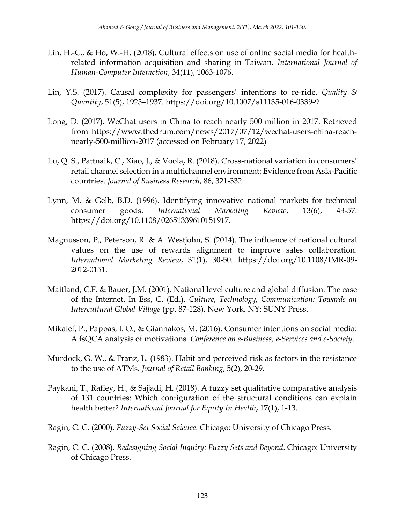- Lin, H.-C., & Ho, W.-H. (2018). Cultural effects on use of online social media for healthrelated information acquisition and sharing in Taiwan. *International Journal of Human-Computer Interaction*, 34(11), 1063-1076.
- Lin, Y.S. (2017). Causal complexity for passengers' intentions to re-ride. *Quality & Quantity*, 51(5), 1925–1937. https://doi.org/10.1007/s11135-016-0339-9
- Long, D. (2017). WeChat users in China to reach nearly 500 million in 2017. Retrieved from https://www.thedrum.com/news/2017/07/12/wechat-users-china-reachnearly-500-million-2017 (accessed on February 17, 2022)
- Lu, Q. S., Pattnaik, C., Xiao, J., & Voola, R. (2018). Cross-national variation in consumers' retail channel selection in a multichannel environment: Evidence from Asia-Pacific countries. *Journal of Business Research*, 86, 321-332.
- Lynn, M. & Gelb, B.D. (1996). Identifying innovative national markets for technical consumer goods. *International Marketing Review*, 13(6), 43-57. https://doi.org/10.1108/02651339610151917.
- Magnusson, P., Peterson, R. & A. Westjohn, S. (2014). The influence of national cultural values on the use of rewards alignment to improve sales collaboration. *International Marketing Review*, 31(1), 30-50. https://doi.org/10.1108/IMR-09- 2012-0151.
- Maitland, C.F. & Bauer, J.M. (2001). National level culture and global diffusion: The case of the Internet. In Ess, C. (Ed.), *Culture, Technology, Communication: Towards an Intercultural Global Village* (pp. 87-128), New York, NY: SUNY Press.
- Mikalef, P., Pappas, I. O., & Giannakos, M. (2016). Consumer intentions on social media: A fsQCA analysis of motivations. *Conference on e-Business, e-Services and e-Society*.
- Murdock, G. W., & Franz, L. (1983). Habit and perceived risk as factors in the resistance to the use of ATMs. *Journal of Retail Banking*, 5(2), 20-29.
- Paykani, T., Rafiey, H., & Sajjadi, H. (2018). A fuzzy set qualitative comparative analysis of 131 countries: Which configuration of the structural conditions can explain health better? *International Journal for Equity In Health*, 17(1), 1-13.
- Ragin, C. C. (2000). *Fuzzy-Set Social Science*. Chicago: University of Chicago Press.
- Ragin, C. C. (2008). *Redesigning Social Inquiry: Fuzzy Sets and Beyond*. Chicago: University of Chicago Press.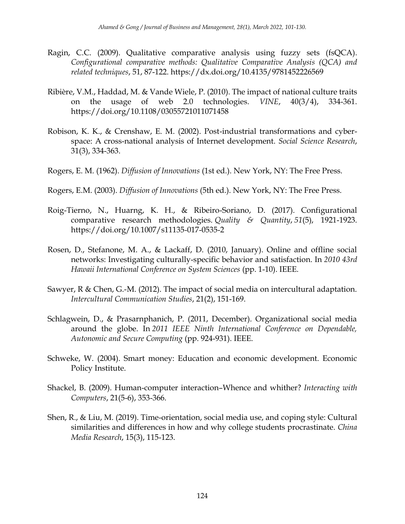- Ragin, C.C. (2009). Qualitative comparative analysis using fuzzy sets (fsQCA). *Configurational comparative methods: Qualitative Comparative Analysis (QCA) and related techniques*, 51, 87-122. https://dx.doi.org/10.4135/9781452226569
- Ribière, V.M., Haddad, M. & Vande Wiele, P. (2010). The impact of national culture traits on the usage of web 2.0 technologies. *VINE*, 40(3/4), 334-361. https://doi.org/10.1108/03055721011071458
- Robison, K. K., & Crenshaw, E. M. (2002). Post-industrial transformations and cyberspace: A cross-national analysis of Internet development. *Social Science Research*, 31(3), 334-363.
- Rogers, E. M. (1962). *Diffusion of Innovations* (1st ed.). New York, NY: The Free Press.
- Rogers, E.M. (2003). *Diffusion of Innovations* (5th ed.). New York, NY: The Free Press.
- Roig-Tierno, N., Huarng, K. H., & Ribeiro-Soriano, D. (2017). Configurational comparative research methodologies. *Quality & Quantity*, *51*(5), 1921-1923. https://doi.org/10.1007/s11135-017-0535-2
- Rosen, D., Stefanone, M. A., & Lackaff, D. (2010, January). Online and offline social networks: Investigating culturally-specific behavior and satisfaction. In *2010 43rd Hawaii International Conference on System Sciences* (pp. 1-10). IEEE.
- Sawyer, R & Chen, G.-M. (2012). The impact of social media on intercultural adaptation. *Intercultural Communication Studies*, 21(2), 151-169.
- Schlagwein, D., & Prasarnphanich, P. (2011, December). Organizational social media around the globe. In *2011 IEEE Ninth International Conference on Dependable, Autonomic and Secure Computing* (pp. 924-931). IEEE.
- Schweke, W. (2004). Smart money: Education and economic development. Economic Policy Institute.
- Shackel, B. (2009). Human-computer interaction–Whence and whither? *Interacting with Computers*, 21(5-6), 353-366.
- Shen, R., & Liu, M. (2019). Time-orientation, social media use, and coping style: Cultural similarities and differences in how and why college students procrastinate. *China Media Research*, 15(3), 115-123.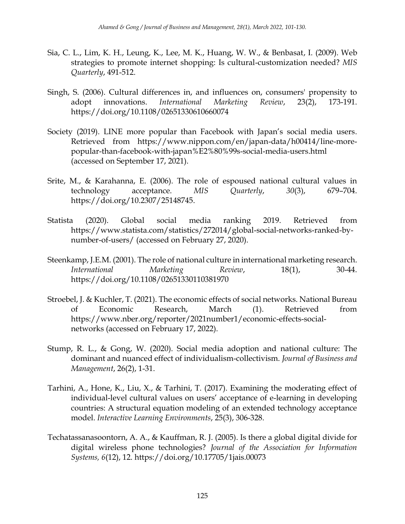- Sia, C. L., Lim, K. H., Leung, K., Lee, M. K., Huang, W. W., & Benbasat, I. (2009). Web strategies to promote internet shopping: Is cultural-customization needed? *MIS Quarterly*, 491-512.
- Singh, S. (2006). Cultural differences in, and influences on, consumers' propensity to adopt innovations. *International Marketing Review*, 23(2), 173-191. https://doi.org/10.1108/02651330610660074
- Society (2019). LINE more popular than Facebook with Japan's social media users. Retrieved from https://www.nippon.com/en/japan-data/h00414/line-morepopular-than-facebook-with-japan%E2%80%99s-social-media-users.html (accessed on September 17, 2021).
- Srite, M., & Karahanna, E. (2006). The role of espoused national cultural values in technology acceptance. *MIS Quarterly*, *30*(3), 679–704. https://doi.org/10.2307/25148745.
- Statista (2020). Global social media ranking 2019. Retrieved from https://www.statista.com/statistics/272014/global-social-networks-ranked-bynumber-of-users/ (accessed on February 27, 2020).
- Steenkamp, J.E.M. (2001). The role of national culture in international marketing research. *International Marketing Review*, 18(1), 30-44. https://doi.org/10.1108/02651330110381970
- Stroebel, J. & Kuchler, T. (2021). The economic effects of social networks. National Bureau of Economic Research, March (1). Retrieved from https://www.nber.org/reporter/2021number1/economic-effects-socialnetworks (accessed on February 17, 2022).
- Stump, R. L., & Gong, W. (2020). Social media adoption and national culture: The dominant and nuanced effect of individualism-collectivism. *Journal of Business and Management*, 26(2), 1-31.
- Tarhini, A., Hone, K., Liu, X., & Tarhini, T. (2017). Examining the moderating effect of individual-level cultural values on users' acceptance of e-learning in developing countries: A structural equation modeling of an extended technology acceptance model. *Interactive Learning Environments*, 25(3), 306-328.
- Techatassanasoontorn, A. A., & Kauffman, R. J. (2005). Is there a global digital divide for digital wireless phone technologies? *Journal of the Association for Information Systems, 6*(12), 12. https://doi.org/10.17705/1jais.00073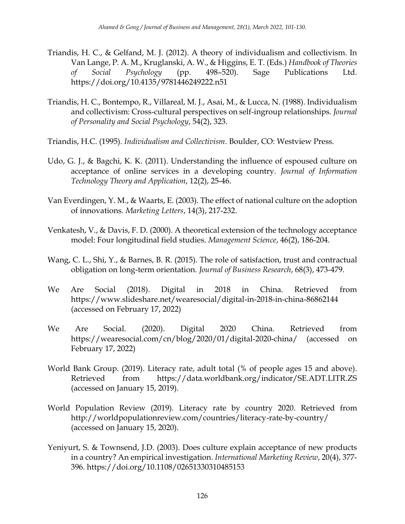- Triandis, H. C., & Gelfand, M. J. (2012). A theory of individualism and collectivism. In Van Lange, P. A. M., Kruglanski, A. W., & Higgins, E. T. (Eds.) *Handbook of Theories of Social Psychology* (pp. 498–520). Sage Publications Ltd. https://doi.org/10.4135/9781446249222.n51
- Triandis, H. C., Bontempo, R., Villareal, M. J., Asai, M., & Lucca, N. (1988). Individualism and collectivism: Cross-cultural perspectives on self-ingroup relationships. *Journal of Personality and Social Psychology*, 54(2), 323.
- Triandis, H.C. (1995). *Individualism and Collectivism*. Boulder, CO: Westview Press.
- Udo, G. J., & Bagchi, K. K. (2011). Understanding the influence of espoused culture on acceptance of online services in a developing country. *Journal of Information Technology Theory and Application*, 12(2), 25-46.
- Van Everdingen, Y. M., & Waarts, E. (2003). The effect of national culture on the adoption of innovations. *Marketing Letters*, 14(3), 217-232.
- Venkatesh, V., & Davis, F. D. (2000). A theoretical extension of the technology acceptance model: Four longitudinal field studies. *Management Science*, 46(2), 186-204.
- Wang, C. L., Shi, Y., & Barnes, B. R. (2015). The role of satisfaction, trust and contractual obligation on long-term orientation. *Journal of Business Research*, 68(3), 473-479.
- We Are Social (2018). Digital in 2018 in China. Retrieved from https://www.slideshare.net/wearesocial/digital-in-2018-in-china-86862144 (accessed on February 17, 2022)
- We Are Social. (2020). Digital 2020 China. Retrieved from https://wearesocial.com/cn/blog/2020/01/digital-2020-china/ (accessed on February 17, 2022)
- World Bank Group. (2019). Literacy rate, adult total (% of people ages 15 and above). Retrieved from https://data.worldbank.org/indicator/SE.ADT.LITR.ZS (accessed on January 15, 2019).
- World Population Review (2019). Literacy rate by country 2020. Retrieved from http://worldpopulationreview.com/countries/literacy-rate-by-country/ (accessed on January 15, 2020).
- Yeniyurt, S. & Townsend, J.D. (2003). Does culture explain acceptance of new products in a country? An empirical investigation. *International Marketing Review*, 20(4), 377- 396. https://doi.org/10.1108/02651330310485153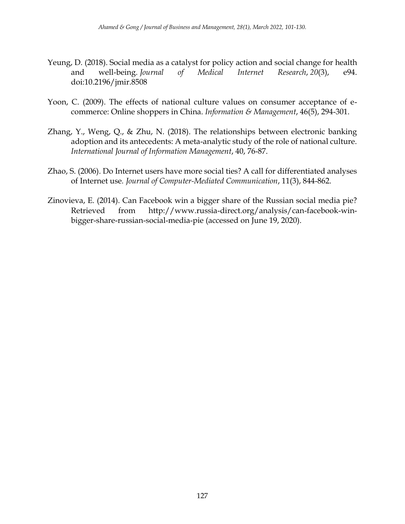- Yeung, D. (2018). Social media as a catalyst for policy action and social change for health and well-being. *Journal of Medical Internet Research*, *20*(3), e94. doi:10.2196/jmir.8508
- Yoon, C. (2009). The effects of national culture values on consumer acceptance of ecommerce: Online shoppers in China. *Information & Management*, 46(5), 294-301.
- Zhang, Y., Weng, Q., & Zhu, N. (2018). The relationships between electronic banking adoption and its antecedents: A meta-analytic study of the role of national culture. *International Journal of Information Management*, 40, 76-87.
- Zhao, S. (2006). Do Internet users have more social ties? A call for differentiated analyses of Internet use*. Journal of Computer-Mediated Communication*, 11(3), 844-862.
- Zinovieva, E. (2014). Can Facebook win a bigger share of the Russian social media pie? Retrieved from http://www.russia-direct.org/analysis/can-facebook-winbigger-share-russian-social-media-pie (accessed on June 19, 2020).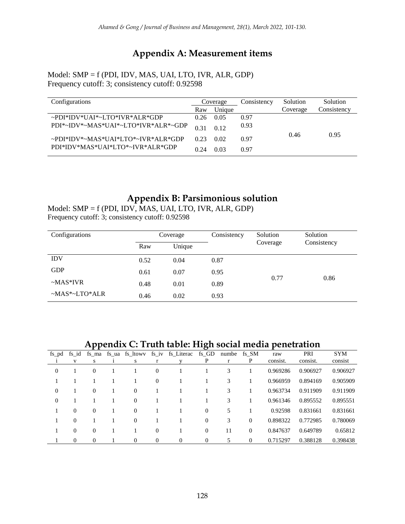# **Appendix A: Measurement items**

Model: SMP = f (PDI, IDV, MAS, UAI, LTO, IVR, ALR, GDP) Frequency cutoff: 3; consistency cutoff: 0.92598

| Configurations                      |      | Coverage | Consistency | Solution | Solution    |  |
|-------------------------------------|------|----------|-------------|----------|-------------|--|
|                                     | Raw  | Unique   |             | Coverage | Consistency |  |
| ~PDI*IDV*UAI*~LTO*IVR*ALR*GDP       | 0.26 | 0.05     | 0.97        |          |             |  |
| PDI*~IDV*~MAS*UAI*~LTO*IVR*ALR*~GDP | 0.31 | 0.12     | 0.93        |          |             |  |
| ~PDI*IDV*~MAS*UAI*LTO*~IVR*ALR*GDP  | 0.23 | 0.02     | 0.97        | 0.46     | 0.95        |  |
| PDI*IDV*MAS*UAI*LTO*~IVR*ALR*GDP    | 0.24 | 0.03     | 0.97        |          |             |  |

## **Appendix B: Parsimonious solution**

Model: SMP = f (PDI, IDV, MAS, UAI, LTO, IVR, ALR, GDP) Frequency cutoff: 3; consistency cutoff: 0.92598

| Configurations  |      | Coverage | Consistency | Solution | Solution    |  |
|-----------------|------|----------|-------------|----------|-------------|--|
|                 | Raw  | Unique   |             | Coverage | Consistency |  |
| <b>IDV</b>      | 0.52 | 0.04     | 0.87        |          |             |  |
| <b>GDP</b>      | 0.61 | 0.07     | 0.95        |          |             |  |
| $-MAS*IVR$      | 0.48 | 0.01     | 0.89        | 0.77     | 0.86        |  |
| $-MAS*-LTO*ALR$ | 0.46 | 0.02     | 0.93        |          |             |  |

## **Appendix C: Truth table: High social media penetration**

| fs pd        | fs id    |                | fs ma fs ua fs ltowy | $fs_iv$  | fs_Literac fs_GD |                | numbe | fs SM    | raw      | PRI      | <b>SYM</b> |
|--------------|----------|----------------|----------------------|----------|------------------|----------------|-------|----------|----------|----------|------------|
|              | V        | S              | S                    | r        |                  | P              |       | P        | consist. | consist. | consist    |
| $\mathbf{0}$ |          | $\overline{0}$ |                      | $\theta$ |                  |                | 3     |          | 0.969286 | 0.906927 | 0.906927   |
|              |          |                |                      | $\theta$ |                  |                | 3     |          | 0.966959 | 0.894169 | 0.905909   |
| $\mathbf{0}$ |          | $\Omega$       | $\theta$             |          |                  |                | 3     |          | 0.963734 | 0.911909 | 0.911909   |
| $\mathbf{0}$ |          |                | $\theta$             |          |                  |                | 3     |          | 0.961346 | 0.895552 | 0.895551   |
|              | $\theta$ | $\Omega$       | $\Omega$             |          |                  | $\overline{0}$ | 5     |          | 0.92598  | 0.831661 | 0.831661   |
|              | $\theta$ |                | $\Omega$             |          |                  | $\overline{0}$ | 3     | $\Omega$ | 0.898322 | 0.772985 | 0.780069   |
|              | $\theta$ | $\Omega$       |                      | $\theta$ |                  | $\overline{0}$ | 11    | $\Omega$ | 0.847637 | 0.649789 | 0.65812    |
|              | $\theta$ | $\Omega$       | $\Omega$             | $\theta$ | $\theta$         | $\overline{0}$ | 5     | $\Omega$ | 0.715297 | 0.388128 | 0.398438   |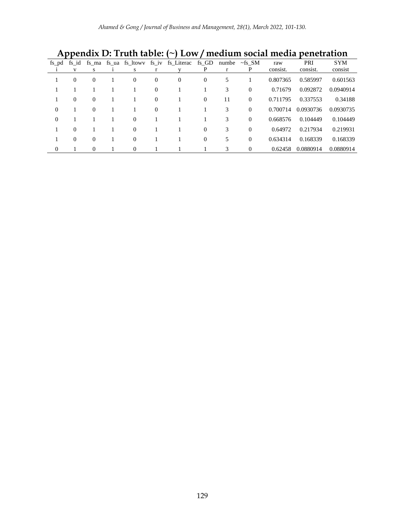| fs pd          | fs id          |                |  | fs ma fs ua fs ltowy fs iv |                | fs_Literac       | fs GD        | numbe | $\sim$ fs SM | raw      | PRI       | <b>SYM</b> |
|----------------|----------------|----------------|--|----------------------------|----------------|------------------|--------------|-------|--------------|----------|-----------|------------|
|                | V              | S              |  | s                          | r              |                  | P            | r     | P            | consist. | consist.  | consist    |
|                | $\overline{0}$ | $\overline{0}$ |  | $\theta$                   | $\overline{0}$ | $\boldsymbol{0}$ | $\mathbf{0}$ | 5     |              | 0.807365 | 0.585997  | 0.601563   |
|                |                |                |  |                            | $\overline{0}$ |                  |              | 3     | $\theta$     | 0.71679  | 0.092872  | 0.0940914  |
|                | $\overline{0}$ | $\theta$       |  |                            | $\overline{0}$ |                  | $\theta$     | 11    | $\theta$     | 0.711795 | 0.337553  | 0.34188    |
| $\overline{0}$ |                | $\Omega$       |  |                            | $\overline{0}$ |                  |              | 3     | $\Omega$     | 0.700714 | 0.0930736 | 0.0930735  |
| $\overline{0}$ |                |                |  | $\theta$                   |                |                  |              | 3     | $\Omega$     | 0.668576 | 0.104449  | 0.104449   |
|                | $\Omega$       |                |  | $\theta$                   |                |                  | $\theta$     | 3     | $\Omega$     | 0.64972  | 0.217934  | 0.219931   |
|                | $\Omega$       | $\Omega$       |  | $\Omega$                   |                |                  | $\theta$     | 5     | $\Omega$     | 0.634314 | 0.168339  | 0.168339   |
| $\overline{0}$ |                | $\Omega$       |  | $\Omega$                   |                |                  |              | 3     | $\Omega$     | 0.62458  | 0.0880914 | 0.0880914  |

**Appendix D: Truth table: (~) Low / medium social media penetration**